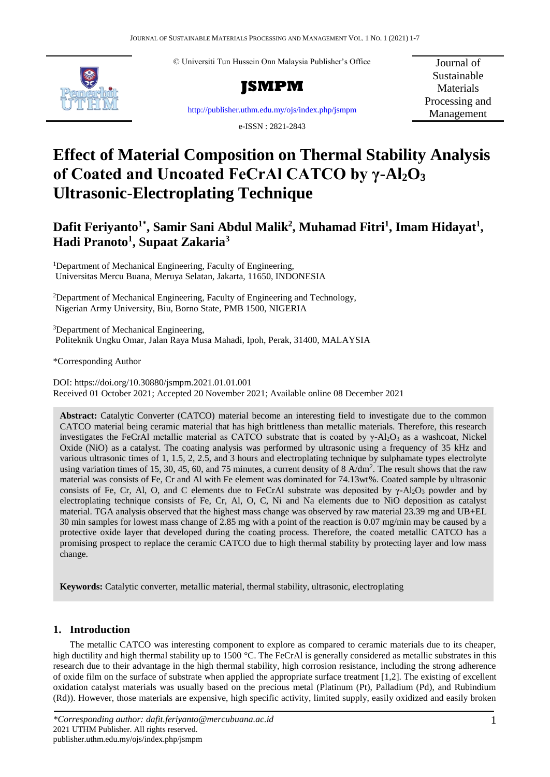© Universiti Tun Hussein Onn Malaysia Publisher's Office



**JSMPM**

Journal of Sustainable **Materials** Processing and Management

<http://publisher.uthm.edu.my/ojs/index.php/jsmpm>

e-ISSN : 2821-2843

# **Effect of Material Composition on Thermal Stability Analysis of Coated and Uncoated FeCrAl CATCO by γ-Al2O<sup>3</sup> Ultrasonic-Electroplating Technique**

# **Dafit Feriyanto1\*, Samir Sani Abdul Malik<sup>2</sup> , Muhamad Fitri<sup>1</sup> , Imam Hidayat<sup>1</sup> , Hadi Pranoto<sup>1</sup> , Supaat Zakaria<sup>3</sup>**

<sup>1</sup>Department of Mechanical Engineering, Faculty of Engineering, Universitas Mercu Buana, Meruya Selatan, Jakarta, 11650, INDONESIA

<sup>2</sup>Department of Mechanical Engineering, Faculty of Engineering and Technology, Nigerian Army University, Biu, Borno State, PMB 1500, NIGERIA

<sup>3</sup>Department of Mechanical Engineering, Politeknik Ungku Omar, Jalan Raya Musa Mahadi, Ipoh, Perak, 31400, MALAYSIA

\*Corresponding Author

DOI: https://doi.org/10.30880/jsmpm.2021.01.01.001 Received 01 October 2021; Accepted 20 November 2021; Available online 08 December 2021

**Abstract:** Catalytic Converter (CATCO) material become an interesting field to investigate due to the common CATCO material being ceramic material that has high brittleness than metallic materials. Therefore, this research investigates the FeCrAl metallic material as CATCO substrate that is coated by  $\gamma$ -Al<sub>2</sub>O<sub>3</sub> as a washcoat, Nickel Oxide (NiO) as a catalyst. The coating analysis was performed by ultrasonic using a frequency of 35 kHz and various ultrasonic times of 1, 1.5, 2, 2.5, and 3 hours and electroplating technique by sulphamate types electrolyte using variation times of 15, 30, 45, 60, and 75 minutes, a current density of 8  $A/dm^2$ . The result shows that the raw material was consists of Fe, Cr and Al with Fe element was dominated for 74.13wt%. Coated sample by ultrasonic consists of Fe, Cr, Al, O, and C elements due to FeCrAl substrate was deposited by  $\gamma$ -Al<sub>2</sub>O<sub>3</sub> powder and by electroplating technique consists of Fe, Cr, Al, O, C, Ni and Na elements due to NiO deposition as catalyst material. TGA analysis observed that the highest mass change was observed by raw material 23.39 mg and UB+EL 30 min samples for lowest mass change of 2.85 mg with a point of the reaction is 0.07 mg/min may be caused by a protective oxide layer that developed during the coating process. Therefore, the coated metallic CATCO has a promising prospect to replace the ceramic CATCO due to high thermal stability by protecting layer and low mass change.

**Keywords:** Catalytic converter, metallic material, thermal stability, ultrasonic, electroplating

## **1. Introduction**

The metallic CATCO was interesting component to explore as compared to ceramic materials due to its cheaper, high ductility and high thermal stability up to 1500 °C. The FeCrAl is generally considered as metallic substrates in this research due to their advantage in the high thermal stability, high corrosion resistance, including the strong adherence of oxide film on the surface of substrate when applied the appropriate surface treatment [1,2]. The existing of excellent oxidation catalyst materials was usually based on the precious metal (Platinum (Pt), Palladium (Pd), and Rubindium (Rd)). However, those materials are expensive, high specific activity, limited supply, easily oxidized and easily broken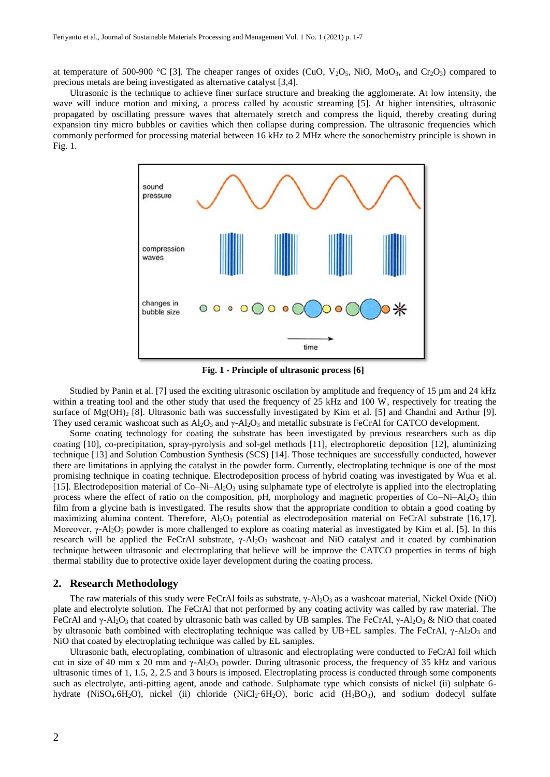at temperature of 500-900 °C [3]. The cheaper ranges of oxides (CuO,  $V_2O_5$ , NiO, MoO<sub>3</sub>, and Cr<sub>2</sub>O<sub>3</sub>) compared to precious metals are being investigated as alternative catalyst [3,4].

Ultrasonic is the technique to achieve finer surface structure and breaking the agglomerate. At low intensity, the wave will induce motion and mixing, a process called by acoustic streaming [5]. At higher intensities, ultrasonic propagated by oscillating pressure waves that alternately stretch and compress the liquid, thereby creating during expansion tiny micro bubbles or cavities which then collapse during compression. The ultrasonic frequencies which commonly performed for processing material between 16 kHz to 2 MHz where the sonochemistry principle is shown in Fig. 1.



**Fig. 1 - Principle of ultrasonic process [6]**

Studied by Panin et al. [7] used the exciting ultrasonic oscilation by amplitude and frequency of 15  $\mu$ m and 24 kHz within a treating tool and the other study that used the frequency of 25 kHz and 100 W, respectively for treating the surface of  $Mg(OH)$ <sub>2</sub> [8]. Ultrasonic bath was successfully investigated by Kim et al. [5] and Chandni and Arthur [9]. They used ceramic washcoat such as  $Al_2O_3$  and  $\gamma$ -Al<sub>2</sub>O<sub>3</sub> and metallic substrate is FeCrAl for CATCO development.

Some coating technology for coating the substrate has been investigated by previous researchers such as dip coating [10], co-precipitation, spray-pyrolysis and sol-gel methods [11], electrophoretic deposition [12], aluminizing technique [13] and Solution Combustion Synthesis (SCS) [14]. Those techniques are successfully conducted, however there are limitations in applying the catalyst in the powder form. Currently, electroplating technique is one of the most promising technique in coating technique. Electrodeposition process of hybrid coating was investigated by Wua et al. [15]. Electrodeposition material of  $Co-Ni-Al<sub>2</sub>O<sub>3</sub>$  using sulphamate type of electrolyte is applied into the electroplating process where the effect of ratio on the composition, pH, morphology and magnetic properties of  $Co-Ni-Al<sub>2</sub>O<sub>3</sub>$  thin film from a glycine bath is investigated. The results show that the appropriate condition to obtain a good coating by maximizing alumina content. Therefore,  $A1_2O_3$  potential as electrodeposition material on FeCrAl substrate [16,17]. Moreover,  $\gamma$ -Al<sub>2</sub>O<sub>3</sub> powder is more challenged to explore as coating material as investigated by Kim et al. [5]. In this research will be applied the FeCrAl substrate, γ-Al<sub>2</sub>O<sub>3</sub> washcoat and NiO catalyst and it coated by combination technique between ultrasonic and electroplating that believe will be improve the CATCO properties in terms of high thermal stability due to protective oxide layer development during the coating process.

#### **2. Research Methodology**

The raw materials of this study were FeCrAl foils as substrate,  $\gamma$ -Al<sub>2</sub>O<sub>3</sub> as a washcoat material, Nickel Oxide (NiO) plate and electrolyte solution. The FeCrAl that not performed by any coating activity was called by raw material. The FeCrAl and γ-Al<sub>2</sub>O<sub>3</sub> that coated by ultrasonic bath was called by UB samples. The FeCrAl, γ-Al<sub>2</sub>O<sub>3</sub> & NiO that coated by ultrasonic bath combined with electroplating technique was called by UB+EL samples. The FeCrAl, γ-Al2O<sup>3</sup> and NiO that coated by electroplating technique was called by EL samples.

Ultrasonic bath, electroplating, combination of ultrasonic and electroplating were conducted to FeCrAl foil which cut in size of 40 mm x 20 mm and  $\gamma$ -Al<sub>2</sub>O<sub>3</sub> powder. During ultrasonic process, the frequency of 35 kHz and various ultrasonic times of 1, 1.5, 2, 2.5 and 3 hours is imposed. Electroplating process is conducted through some components such as electrolyte, anti-pitting agent, anode and cathode. Sulphamate type which consists of nickel (ii) sulphate 6 hydrate (NiSO<sub>4</sub>.6H<sub>2</sub>O), nickel (ii) chloride (NiCl<sub>2</sub>·6H<sub>2</sub>O), boric acid (H<sub>3</sub>BO<sub>3</sub>), and sodium dodecyl sulfate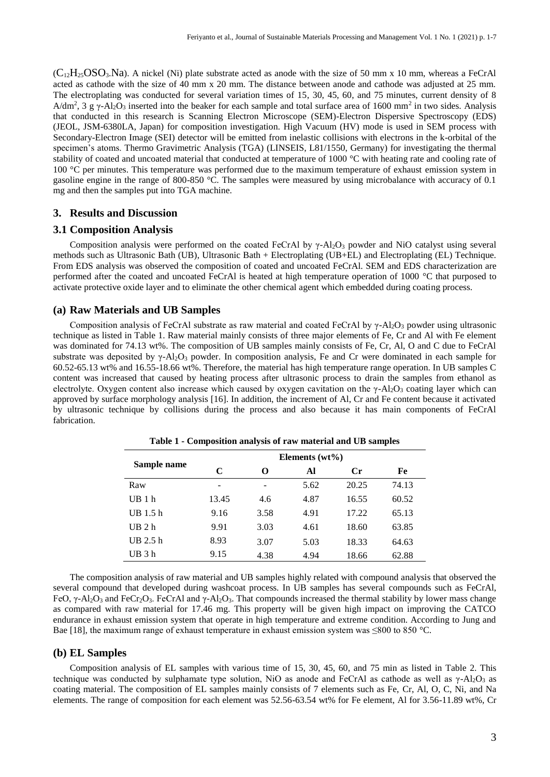$(C_{12}H_{25}OSO_3$  $(C_{12}H_{25}OSO_3$  $(C_{12}H_{25}OSO_3$  $(C_{12}H_{25}OSO_3$  $(C_{12}H_{25}OSO_3$  $(C_{12}H_{25}OSO_3$  $(C_{12}H_{25}OSO_3$ . A nickel (Ni) plate substrate acted as anode with the size of 50 mm x 10 mm, whereas a FeCrAl acted as cathode with the size of 40 mm x 20 mm. The distance between anode and cathode was adjusted at 25 mm. The electroplating was conducted for several variation times of 15, 30, 45, 60, and 75 minutes, current density of 8 A/dm<sup>2</sup>, 3 g  $\gamma$ -Al<sub>2</sub>O<sub>3</sub> inserted into the beaker for each sample and total surface area of 1600 mm<sup>2</sup> in two sides. Analysis that conducted in this research is Scanning Electron Microscope (SEM)-Electron Dispersive Spectroscopy (EDS) (JEOL, JSM-6380LA, Japan) for composition investigation. High Vacuum (HV) mode is used in SEM process with Secondary-Electron Image (SEI) detector will be emitted from inelastic collisions with electrons in the k-orbital of the specimen's atoms. Thermo Gravimetric Analysis (TGA) (LINSEIS, L81/1550, Germany) for investigating the thermal stability of coated and uncoated material that conducted at temperature of 1000  $^{\circ}$ C with heating rate and cooling rate of 100 °C per minutes. This temperature was performed due to the maximum temperature of exhaust emission system in gasoline engine in the range of 800-850 °C. The samples were measured by using microbalance with accuracy of 0.1 mg and then the samples put into TGA machine.

### **3. Results and Discussion**

#### **3.1 Composition Analysis**

Composition analysis were performed on the coated FeCrAl by γ-Al2O<sup>3</sup> powder and NiO catalyst using several methods such as Ultrasonic Bath (UB), Ultrasonic Bath + Electroplating (UB+EL) and Electroplating (EL) Technique. From EDS analysis was observed the composition of coated and uncoated FeCrAl. SEM and EDS characterization are performed after the coated and uncoated FeCrAl is heated at high temperature operation of 1000 °C that purposed to activate protective oxide layer and to eliminate the other chemical agent which embedded during coating process.

#### **(a) Raw Materials and UB Samples**

Composition analysis of FeCrAl substrate as raw material and coated FeCrAl by  $\gamma$ -Al<sub>2</sub>O<sub>3</sub> powder using ultrasonic technique as listed in Table 1. Raw material mainly consists of three major elements of Fe, Cr and Al with Fe element was dominated for 74.13 wt%. The composition of UB samples mainly consists of Fe, Cr, Al, O and C due to FeCrAl substrate was deposited by γ-Al<sub>2</sub>O<sub>3</sub> powder. In composition analysis, Fe and Cr were dominated in each sample for 60.52-65.13 wt% and 16.55-18.66 wt%. Therefore, the material has high temperature range operation. In UB samples C content was increased that caused by heating process after ultrasonic process to drain the samples from ethanol as electrolyte. Oxygen content also increase which caused by oxygen cavitation on the  $\gamma$ -Al<sub>2</sub>O<sub>3</sub> coating layer which can approved by surface morphology analysis [16]. In addition, the increment of Al, Cr and Fe content because it activated by ultrasonic technique by collisions during the process and also because it has main components of FeCrAl fabrication.

|             | Elements $(wt\%)$ |      |      |       |       |  |  |
|-------------|-------------------|------|------|-------|-------|--|--|
| Sample name | C                 | O    | Al   | Cr    | Fe    |  |  |
| Raw         | ۰                 |      | 5.62 | 20.25 | 74.13 |  |  |
| UB1h        | 13.45             | 4.6  | 4.87 | 16.55 | 60.52 |  |  |
| UB $1.5h$   | 9.16              | 3.58 | 4.91 | 17.22 | 65.13 |  |  |
| UB2h        | 9.91              | 3.03 | 4.61 | 18.60 | 63.85 |  |  |
| UB $2.5h$   | 8.93              | 3.07 | 5.03 | 18.33 | 64.63 |  |  |
| UB 3 h      | 9.15              | 4.38 | 4.94 | 18.66 | 62.88 |  |  |

**Table 1 - Composition analysis of raw material and UB samples**

The composition analysis of raw material and UB samples highly related with compound analysis that observed the several compound that developed during washcoat process. In UB samples has several compounds such as FeCrAl, FeO, γ-Al<sub>2</sub>O<sub>3</sub> and FeCr<sub>2</sub>O<sub>3</sub>. FeCrAl and γ-Al<sub>2</sub>O<sub>3</sub>. That compounds increased the thermal stability by lower mass change as compared with raw material for 17.46 mg. This property will be given high impact on improving the CATCO endurance in exhaust emission system that operate in high temperature and extreme condition. According to Jung and Bae [18], the maximum range of exhaust temperature in exhaust emission system was ≤800 to 850 °C.

#### **(b) EL Samples**

Composition analysis of EL samples with various time of 15, 30, 45, 60, and 75 min as listed in Table 2. This technique was conducted by sulphamate type solution, NiO as anode and FeCrAl as cathode as well as  $\gamma$ -Al<sub>2</sub>O<sub>3</sub> as coating material. The composition of EL samples mainly consists of 7 elements such as Fe, Cr, Al, O, C, Ni, and Na elements. The range of composition for each element was 52.56-63.54 wt% for Fe element, Al for 3.56-11.89 wt%, Cr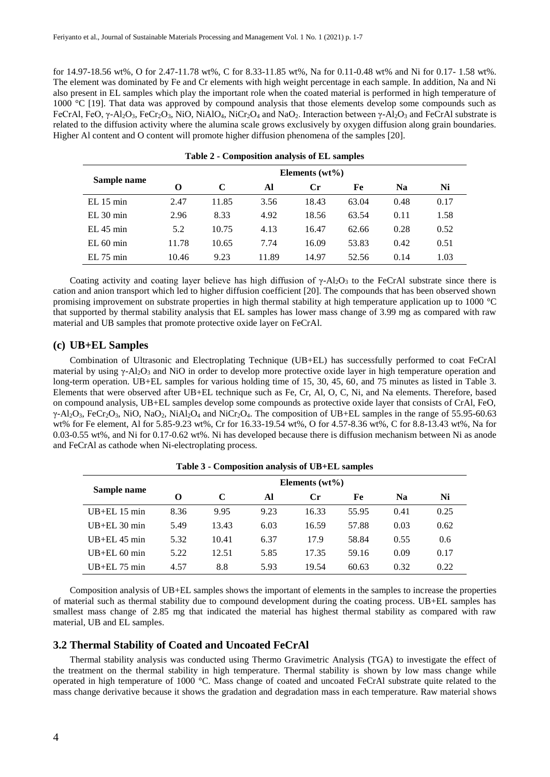for 14.97-18.56 wt%, O for 2.47-11.78 wt%, C for 8.33-11.85 wt%, Na for 0.11-0.48 wt% and Ni for 0.17- 1.58 wt%. The element was dominated by Fe and Cr elements with high weight percentage in each sample. In addition, Na and Ni also present in EL samples which play the important role when the coated material is performed in high temperature of 1000 °C [19]. That data was approved by compound analysis that those elements develop some compounds such as FeCrAl, FeO, γ-Al<sub>2</sub>O<sub>3</sub>, FeCr<sub>2</sub>O<sub>3</sub>, NiO, NiAlO<sub>4</sub>, NiCr<sub>2</sub>O<sub>4</sub> and NaO<sub>2</sub>. Interaction between γ-Al<sub>2</sub>O<sub>3</sub> and FeCrAl substrate is related to the diffusion activity where the alumina scale grows exclusively by oxygen diffusion along grain boundaries. Higher Al content and O content will promote higher diffusion phenomena of the samples [20].

| Table 2 - Composition analysis of EL samples |                   |       |       |       |       |                |      |  |
|----------------------------------------------|-------------------|-------|-------|-------|-------|----------------|------|--|
| Sample name                                  | Elements $(wt\%)$ |       |       |       |       |                |      |  |
|                                              | O                 | C     | Al    | Cr    | Fe    | N <sub>a</sub> | Ni   |  |
| $EL$ 15 min                                  | 2.47              | 11.85 | 3.56  | 18.43 | 63.04 | 0.48           | 0.17 |  |
| EL 30 min                                    | 2.96              | 8.33  | 4.92  | 18.56 | 63.54 | 0.11           | 1.58 |  |
| $EL$ 45 min                                  | 5.2               | 10.75 | 4.13  | 16.47 | 62.66 | 0.28           | 0.52 |  |
| EL 60 min                                    | 11.78             | 10.65 | 7.74  | 16.09 | 53.83 | 0.42           | 0.51 |  |
| $EL$ 75 min                                  | 10.46             | 9.23  | 11.89 | 14.97 | 52.56 | 0.14           | 1.03 |  |

Coating activity and coating layer believe has high diffusion of  $\gamma$ -Al<sub>2</sub>O<sub>3</sub> to the FeCrAl substrate since there is cation and anion transport which led to higher diffusion coefficient [20]. The compounds that has been observed shown promising improvement on substrate properties in high thermal stability at high temperature application up to 1000 °C that supported by thermal stability analysis that EL samples has lower mass change of 3.99 mg as compared with raw material and UB samples that promote protective oxide layer on FeCrAl.

#### **(c) UB+EL Samples**

Combination of Ultrasonic and Electroplating Technique (UB+EL) has successfully performed to coat FeCrAl material by using  $\gamma$ -Al<sub>2</sub>O<sub>3</sub> and NiO in order to develop more protective oxide layer in high temperature operation and long-term operation. UB+EL samples for various holding time of 15, 30, 45, 60, and 75 minutes as listed in Table 3. Elements that were observed after UB+EL technique such as Fe, Cr, Al, O, C, Ni, and Na elements. Therefore, based on compound analysis, UB+EL samples develop some compounds as protective oxide layer that consists of CrAl, FeO,  $\gamma$ -Al<sub>2</sub>O<sub>3</sub>, FeCr<sub>2</sub>O<sub>3</sub>, NiO, NaO<sub>2</sub>, NiAl<sub>2</sub>O<sub>4</sub> and NiCr<sub>2</sub>O<sub>4</sub>. The composition of UB+EL samples in the range of 55.95-60.63 wt% for Fe element, Al for 5.85-9.23 wt%, Cr for 16.33-19.54 wt%, O for 4.57-8.36 wt%, C for 8.8-13.43 wt%, Na for 0.03-0.55 wt%, and Ni for 0.17-0.62 wt%. Ni has developed because there is diffusion mechanism between Ni as anode and FeCrAl as cathode when Ni-electroplating process.

| Table 5 - Composition analysis of UD+EL samples |                   |       |      |         |       |                |               |
|-------------------------------------------------|-------------------|-------|------|---------|-------|----------------|---------------|
| Sample name                                     | Elements $(wt\%)$ |       |      |         |       |                |               |
|                                                 | O                 | C     | Al   | $C_{r}$ | Fe    | N <sub>a</sub> | Ni            |
| $UB+EL$ 15 min                                  | 8.36              | 9.95  | 9.23 | 16.33   | 55.95 | 0.41           | 0.25          |
| $UB+EL$ 30 min                                  | 5.49              | 13.43 | 6.03 | 16.59   | 57.88 | 0.03           | 0.62          |
| $UB+EL$ 45 min                                  | 5.32              | 10.41 | 6.37 | 17.9    | 58.84 | 0.55           | $0.6^{\circ}$ |
| $UB+EL$ 60 min                                  | 5.22              | 12.51 | 5.85 | 17.35   | 59.16 | 0.09           | 0.17          |
| $UB+EL$ 75 min                                  | 4.57              | 8.8   | 5.93 | 19.54   | 60.63 | 0.32           | 0.22          |

**Table 3 - Composition analysis of UB+EL samples**

Composition analysis of UB+EL samples shows the important of elements in the samples to increase the properties of material such as thermal stability due to compound development during the coating process. UB+EL samples has smallest mass change of 2.85 mg that indicated the material has highest thermal stability as compared with raw material, UB and EL samples.

#### **3.2 Thermal Stability of Coated and Uncoated FeCrAl**

Thermal stability analysis was conducted using Thermo Gravimetric Analysis (TGA) to investigate the effect of the treatment on the thermal stability in high temperature. Thermal stability is shown by low mass change while operated in high temperature of 1000 °C. Mass change of coated and uncoated FeCrAl substrate quite related to the mass change derivative because it shows the gradation and degradation mass in each temperature. Raw material shows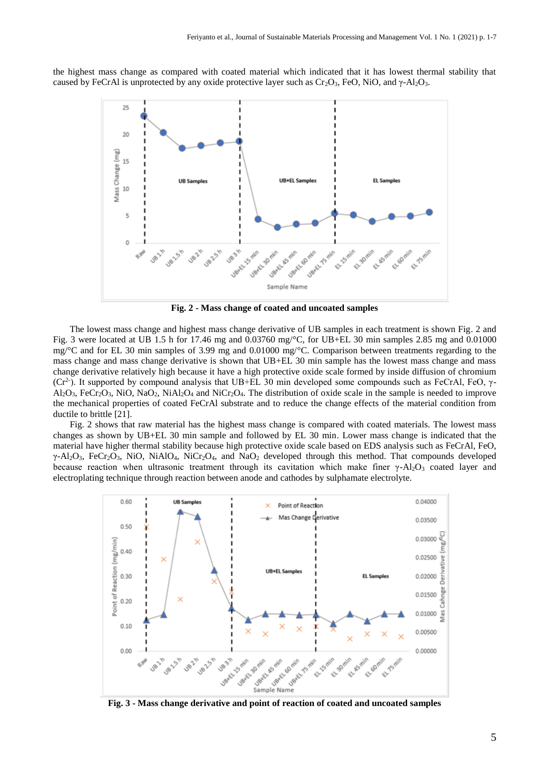the highest mass change as compared with coated material which indicated that it has lowest thermal stability that caused by FeCrAl is unprotected by any oxide protective layer such as  $Cr_2O_3$ , FeO, NiO, and  $\gamma$ -Al<sub>2</sub>O<sub>3</sub>.



**Fig. 2 - Mass change of coated and uncoated samples**

The lowest mass change and highest mass change derivative of UB samples in each treatment is shown Fig. 2 and Fig. 3 were located at UB 1.5 h for 17.46 mg and 0.03760 mg/°C, for UB+EL 30 min samples 2.85 mg and 0.01000 mg/°C and for EL 30 min samples of 3.99 mg and 0.01000 mg/°C. Comparison between treatments regarding to the mass change and mass change derivative is shown that UB+EL 30 min sample has the lowest mass change and mass change derivative relatively high because it have a high protective oxide scale formed by inside diffusion of chromium ( $Cr^2$ ). It supported by compound analysis that UB+EL 30 min developed some compounds such as FeCrAl, FeO,  $\gamma$ - $AI_2O_3$ , FeCr<sub>2</sub>O<sub>3</sub>, NiO, NaO<sub>2</sub>, NiAl<sub>2</sub>O<sub>4</sub> and NiCr<sub>2</sub>O<sub>4</sub>. The distribution of oxide scale in the sample is needed to improve the mechanical properties of coated FeCrAl substrate and to reduce the change effects of the material condition from ductile to brittle [21].

Fig. 2 shows that raw material has the highest mass change is compared with coated materials. The lowest mass changes as shown by UB+EL 30 min sample and followed by EL 30 min. Lower mass change is indicated that the material have higher thermal stability because high protective oxide scale based on EDS analysis such as FeCrAl, FeO, γ-Al2O3, FeCr2O3, NiO, NiAlO4, NiCr2O4, and NaO<sup>2</sup> developed through this method. That compounds developed because reaction when ultrasonic treatment through its cavitation which make finer  $\gamma$ -Al<sub>2</sub>O<sub>3</sub> coated layer and electroplating technique through reaction between anode and cathodes by sulphamate electrolyte.



**Fig. 3 - Mass change derivative and point of reaction of coated and uncoated samples**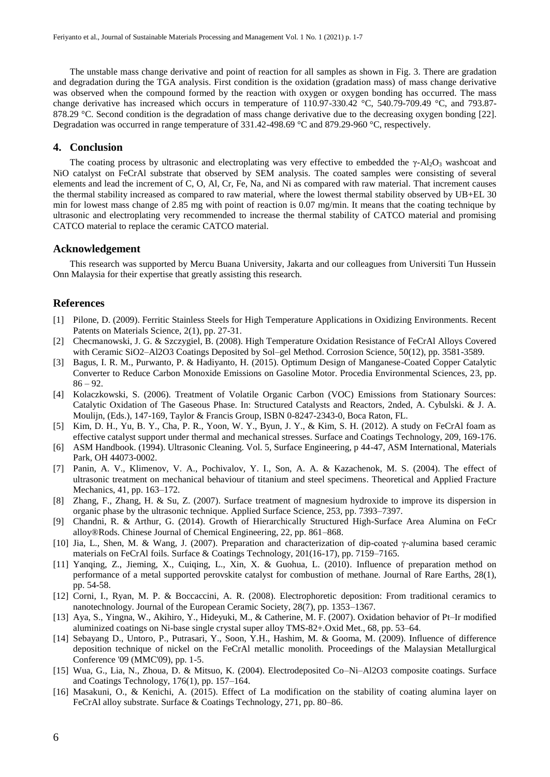The unstable mass change derivative and point of reaction for all samples as shown in Fig. 3. There are gradation and degradation during the TGA analysis. First condition is the oxidation (gradation mass) of mass change derivative was observed when the compound formed by the reaction with oxygen or oxygen bonding has occurred. The mass change derivative has increased which occurs in temperature of 110.97-330.42 °C, 540.79-709.49 °C, and 793.87- 878.29 °C. Second condition is the degradation of mass change derivative due to the decreasing oxygen bonding [22]. Degradation was occurred in range temperature of 331.42-498.69 °C and 879.29-960 °C, respectively.

#### **4. Conclusion**

The coating process by ultrasonic and electroplating was very effective to embedded the  $\gamma$ -Al<sub>2</sub>O<sub>3</sub> washcoat and NiO catalyst on FeCrAl substrate that observed by SEM analysis. The coated samples were consisting of several elements and lead the increment of C, O, Al, Cr, Fe, Na, and Ni as compared with raw material. That increment causes the thermal stability increased as compared to raw material, where the lowest thermal stability observed by UB+EL 30 min for lowest mass change of 2.85 mg with point of reaction is 0.07 mg/min. It means that the coating technique by ultrasonic and electroplating very recommended to increase the thermal stability of CATCO material and promising CATCO material to replace the ceramic CATCO material.

#### **Acknowledgement**

This research was supported by Mercu Buana University, Jakarta and our colleagues from Universiti Tun Hussein Onn Malaysia for their expertise that greatly assisting this research.

#### **References**

- [1] Pilone, D. (2009). Ferritic Stainless Steels for High Temperature Applications in Oxidizing Environments. Recent Patents on Materials Science, 2(1), pp. 27-31.
- [2] Checmanowski, J. G. & Szczygiel, B. (2008). High Temperature Oxidation Resistance of FeCrAl Alloys Covered with Ceramic SiO2–Al2O3 Coatings Deposited by Sol–gel Method. Corrosion Science, 50(12), pp. 3581-3589.
- [3] Bagus, I. R. M., Purwanto, P. & Hadiyanto, H. (2015). Optimum Design of Manganese-Coated Copper Catalytic Converter to Reduce Carbon Monoxide Emissions on Gasoline Motor. Procedia Environmental Sciences, 23, pp.  $86 - 92.$
- [4] Kolaczkowski, S. (2006). Treatment of Volatile Organic Carbon (VOC) Emissions from Stationary Sources: Catalytic Oxidation of The Gaseous Phase. In: Structured Catalysts and Reactors, 2nded, A. Cybulski. & J. A. Moulijn, (Eds.), 147-169, Taylor & Francis Group, ISBN 0-8247-2343-0, Boca Raton, FL.
- [5] Kim, D. H., Yu, B. Y., Cha, P. R., Yoon, W. Y., Byun, J. Y., & Kim, S. H. (2012). A study on FeCrAl foam as effective catalyst support under thermal and mechanical stresses. Surface and Coatings Technology, 209, 169-176.
- [6] ASM Handbook. (1994). Ultrasonic Cleaning. Vol. 5, Surface Engineering, p 44-47, ASM International, Materials Park, OH 44073-0002.
- [7] Panin, A. V., Klimenov, V. A., Pochivalov, Y. I., Son, A. A. & Kazachenok, M. S. (2004). The effect of ultrasonic treatment on mechanical behaviour of titanium and steel specimens. Theoretical and Applied Fracture Mechanics, 41, pp. 163–172.
- [8] Zhang, F., Zhang, H. & Su, Z. (2007). Surface treatment of magnesium hydroxide to improve its dispersion in organic phase by the ultrasonic technique. Applied Surface Science, 253, pp. 7393–7397.
- [9] Chandni, R. & Arthur, G. (2014). Growth of Hierarchically Structured High-Surface Area Alumina on FeCr alloy®Rods. Chinese Journal of Chemical Engineering, 22, pp. 861–868.
- [10] Jia, L., Shen, M. & Wang, J. (2007). Preparation and characterization of dip-coated γ-alumina based ceramic materials on FeCrAl foils. Surface & Coatings Technology, 201(16-17), pp. 7159–7165.
- [11] Yanqing, Z., Jieming, X., Cuiqing, L., Xin, X. & Guohua, L. (2010). Influence of preparation method on performance of a metal supported perovskite catalyst for combustion of methane. Journal of Rare Earths, 28(1), pp. 54-58.
- [12] Corni, I., Ryan, M. P. & Boccaccini, A. R. (2008). Electrophoretic deposition: From traditional ceramics to nanotechnology. Journal of the European Ceramic Society, 28(7), pp. 1353–1367.
- [13] Aya, S., Yingna, W., Akihiro, Y., Hideyuki, M., & Catherine, M. F. (2007). Oxidation behavior of Pt–Ir modified aluminized coatings on Ni-base single crystal super alloy TMS-82+.Oxid Met., 68, pp. 53–64.
- [14] Sebayang D., Untoro, P., Putrasari, Y., Soon, Y.H., Hashim, M. & Gooma, M. (2009). Influence of difference deposition technique of nickel on the FeCrAl metallic monolith. Proceedings of the Malaysian Metallurgical Conference '09 (MMC'09), pp. 1-5.
- [15] Wua, G., Lia, N., Zhoua, D. & Mitsuo, K. (2004). Electrodeposited Co–Ni–Al2O3 composite coatings. Surface and Coatings Technology, 176(1), pp. 157–164.
- [16] Masakuni, O., & Kenichi, A. (2015). Effect of La modification on the stability of coating alumina layer on FeCrAl alloy substrate. Surface & Coatings Technology, 271, pp. 80–86.